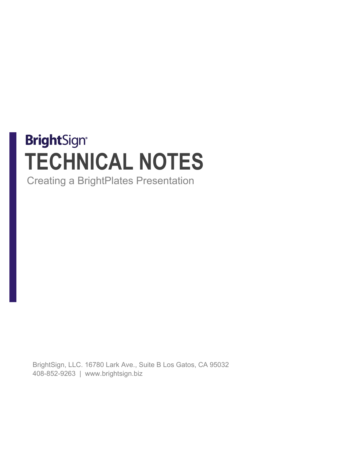# **BrightSign® TECHNICAL NOTES**

Creating a BrightPlates Presentation

BrightSign, LLC. 16780 Lark Ave., Suite B Los Gatos, CA 95032 408-852-9263 | www.brightsign.biz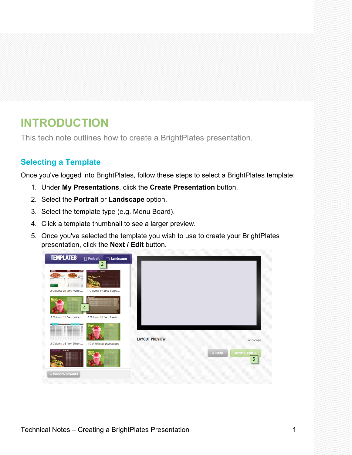# **INTRODUCTION**

This tech note outlines how to create a BrightPlates presentation.

# **Selecting a Template**

Once you've logged into BrightPlates, follow these steps to select a BrightPlates template:

- 1. Under **My Presentations**, click the **Create Presentation** button.
- 2. Select the **Portrait** or **Landscape** option.
- 3. Select the template type (e.g. Menu Board).
- 4. Click a template thumbnail to see a larger preview.
- 5. Once you've selected the template you wish to use to create your BrightPlates presentation, click the **Next / Edit** button.

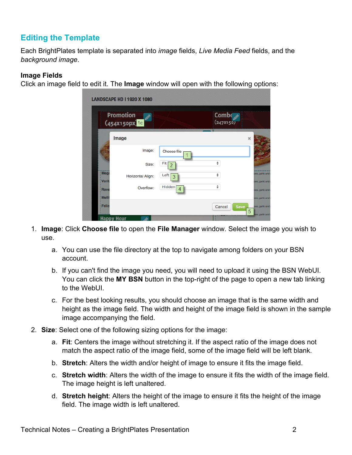# **Editing the Template**

Each BrightPlates template is separated into *image* fields, *Live Media Feed* fields, and the *background image*.

#### **Image Fields**

Click an image field to edit it. The **Image** window will open with the following options:

|                        | <b>Promotion</b><br>(454X150px) 1c |             | Comb $\sqrt{\mathscr{E}}$<br>(247X150) |                                    |
|------------------------|------------------------------------|-------------|----------------------------------------|------------------------------------|
|                        | Image                              |             |                                        | $\chi$                             |
|                        | Image:                             | Choose file |                                        |                                    |
|                        | Size:                              | Fit         | $\hat{\mathbf{v}}$                     |                                    |
| : Mega<br><b>Verit</b> | <b>Horizontal Align:</b>           | Left<br>3   | ÷                                      | ces, garlic and<br>oes, garlic and |
| Rave                   | Overflow:                          | Hidden<br>4 | ÷                                      | ces, garlic and                    |
| : Melli                |                                    |             |                                        | oes, garlic and                    |

- 1. **Image**: Click **Choose file** to open the **File Manager** window. Select the image you wish to use.
	- a. You can use the file directory at the top to navigate among folders on your BSN account.
	- b. If you can't find the image you need, you will need to upload it using the BSN WebUI. You can click the **MY BSN** button in the top-right of the page to open a new tab linking to the WebUI.
	- c. For the best looking results, you should choose an image that is the same width and height as the image field. The width and height of the image field is shown in the sample image accompanying the field.
- 2. **Size**: Select one of the following sizing options for the image:
	- a. **Fit**: Centers the image without stretching it. If the aspect ratio of the image does not match the aspect ratio of the image field, some of the image field will be left blank.
	- b. **Stretch**: Alters the width and/or height of image to ensure it fits the image field.
	- c. **Stretch width**: Alters the width of the image to ensure it fits the width of the image field. The image height is left unaltered.
	- d. **Stretch height**: Alters the height of the image to ensure it fits the height of the image field. The image width is left unaltered.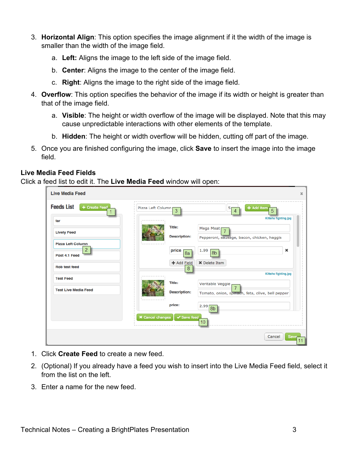- 3. **Horizontal Align**: This option specifies the image alignment if it the width of the image is smaller than the width of the image field.
	- a. **Left:** Aligns the image to the left side of the image field.
	- b. **Center**: Aligns the image to the center of the image field.
	- c. **Right**: Aligns the image to the right side of the image field.
- 4. **Overflow**: This option specifies the behavior of the image if its width or height is greater than that of the image field.
	- a. **Visible**: The height or width overflow of the image will be displayed. Note that this may cause unpredictable interactions with other elements of the template.
	- b. **Hidden**: The height or width overflow will be hidden, cutting off part of the image.
- 5. Once you are finished configuring the image, click **Save** to insert the image into the image field.

#### **Live Media Feed Fields**

Click a feed list to edit it. The **Live Media Feed** window will open:

| <b>Live Media Feed</b>             |                                        | ×                                                |
|------------------------------------|----------------------------------------|--------------------------------------------------|
| <b>Feeds List</b><br>+ Create Feed | Pizza Left Column r<br>3               | + Add item<br>5<br>5<br>4                        |
| far                                |                                        | <b>Kittehs fighting.jpg</b>                      |
| <b>Lively Feed</b>                 | Title:                                 | <b>Mega Meat</b><br>7                            |
| <b>Pizza Left Column</b>           | <b>Description:</b>                    | Pepperoni, sausage, bacon, chicken, haggis       |
| $\overline{2}$<br>Post 4.1 Feed    | price<br>8a                            | ×<br>1.99<br>8 <sub>b</sub>                      |
| <b>Rob test feed</b>               | + Add Field<br>8                       | <b>X</b> Delete Item                             |
| <b>Test Feed</b>                   |                                        | <b>Kittehs fighting.jpg</b>                      |
| <b>Test Live Media Feed</b>        | Title:                                 | Veritable Veggie<br>$\overline{7}$               |
|                                    | <b>Description:</b>                    | Tomato, onion, spinach, feta, olive, bell pepper |
|                                    | price:                                 | 2.99<br>8 <sub>b</sub>                           |
|                                    | $\times$ Cancel changes<br>✔ Save feed | 10                                               |
|                                    |                                        |                                                  |
|                                    |                                        | Cancel<br>Save<br>11                             |

- 1. Click **Create Feed** to create a new feed.
- 2. (Optional) If you already have a feed you wish to insert into the Live Media Feed field, select it from the list on the left.
- 3. Enter a name for the new feed.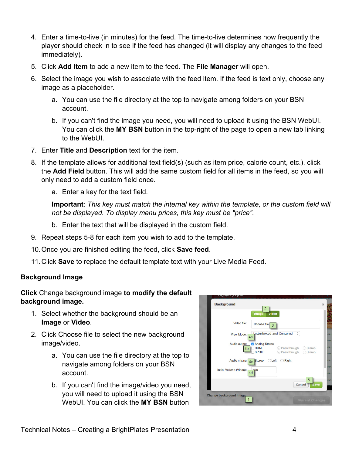- 4. Enter a time-to-live (in minutes) for the feed. The time-to-live determines how frequently the player should check in to see if the feed has changed (it will display any changes to the feed immediately).
- 5. Click **Add Item** to add a new item to the feed. The **File Manager** will open.
- 6. Select the image you wish to associate with the feed item. If the feed is text only, choose any image as a placeholder.
	- a. You can use the file directory at the top to navigate among folders on your BSN account.
	- b. If you can't find the image you need, you will need to upload it using the BSN WebUI. You can click the **MY BSN** button in the top-right of the page to open a new tab linking to the WebUI.
- 7. Enter **Title** and **Description** text for the item.
- 8. If the template allows for additional text field(s) (such as item price, calorie count, etc.), click the **Add Field** button. This will add the same custom field for all items in the feed, so you will only need to add a custom field once.
	- a. Enter a key for the text field.

**Important**: *This key must match the internal key within the template, or the custom field will not be displayed. To display menu prices, this key must be "price".*

- b. Enter the text that will be displayed in the custom field.
- 9. Repeat steps 5-8 for each item you wish to add to the template.
- 10.Once you are finished editing the feed, click **Save feed**.
- 11.Click **Save** to replace the default template text with your Live Media Feed.

#### **Background Image**

#### **Click** Change background image **to modify the default background image.**

- 1. Select whether the background should be an **Image** or **Video**.
- 2. Click Choose file to select the new background image/video.
	- a. You can use the file directory at the top to navigate among folders on your BSN account.
	- b. If you can't find the image/video you need, you will need to upload it using the BSN WebUI. You can click the **MY BSN** button

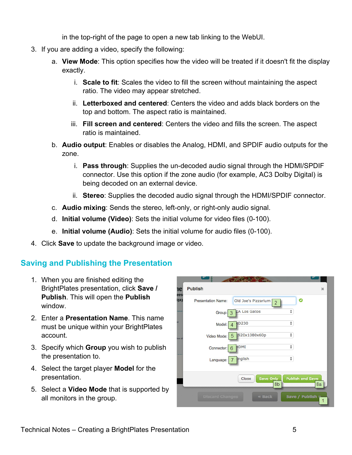in the top-right of the page to open a new tab linking to the WebUI.

- 3. If you are adding a video, specify the following:
	- a. **View Mode**: This option specifies how the video will be treated if it doesn't fit the display exactly.
		- i. **Scale to fit**: Scales the video to fill the screen without maintaining the aspect ratio. The video may appear stretched.
		- ii. **Letterboxed and centered**: Centers the video and adds black borders on the top and bottom. The aspect ratio is maintained.
		- iii. **Fill screen and centered**: Centers the video and fills the screen. The aspect ratio is maintained.
	- b. **Audio output**: Enables or disables the Analog, HDMI, and SPDIF audio outputs for the zone.
		- i. **Pass through**: Supplies the un-decoded audio signal through the HDMI/SPDIF connector. Use this option if the zone audio (for example, AC3 Dolby Digital) is being decoded on an external device.
		- ii. **Stereo**: Supplies the decoded audio signal through the HDMI/SPDIF connector.
	- c. **Audio mixing**: Sends the stereo, left-only, or right-only audio signal.
	- d. **Initial volume (Video)**: Sets the initial volume for video files (0-100).
	- e. **Initial volume (Audio)**: Sets the initial volume for audio files (0-100).
- 4. Click **Save** to update the background image or video.

### **Saving and Publishing the Presentation**

- 1. When you are finished editing the BrightPlates presentation, click **Save / Publish**. This will open the **Publish** window.
- 2. Enter a **Presentation Name**. This name must be unique within your BrightPlates account.
- 3. Specify which **Group** you wish to publish the presentation to.
- 4. Select the target player **Model** for the presentation.
- 5. Select a **Video Mode** that is supported by all monitors in the group.

| <b>Presentation Name:</b> | Old Joe's Pizzarium      | o<br>$\overline{2}$     |    |
|---------------------------|--------------------------|-------------------------|----|
| Group:                    | <b>CA Los Gatos</b><br>3 | ÷                       |    |
| Model:                    | <b>KD230</b>             | ÷                       |    |
| Video Mode:               | 920x1080x60p<br>5        | ÷                       |    |
| Connector:                | HDMI<br>6                | ÷                       |    |
| Language:                 | <b>English</b>           | ÷                       |    |
|                           | Save Only<br>Close       | <b>Publish and Save</b> |    |
|                           |                          | 8b                      | 8a |